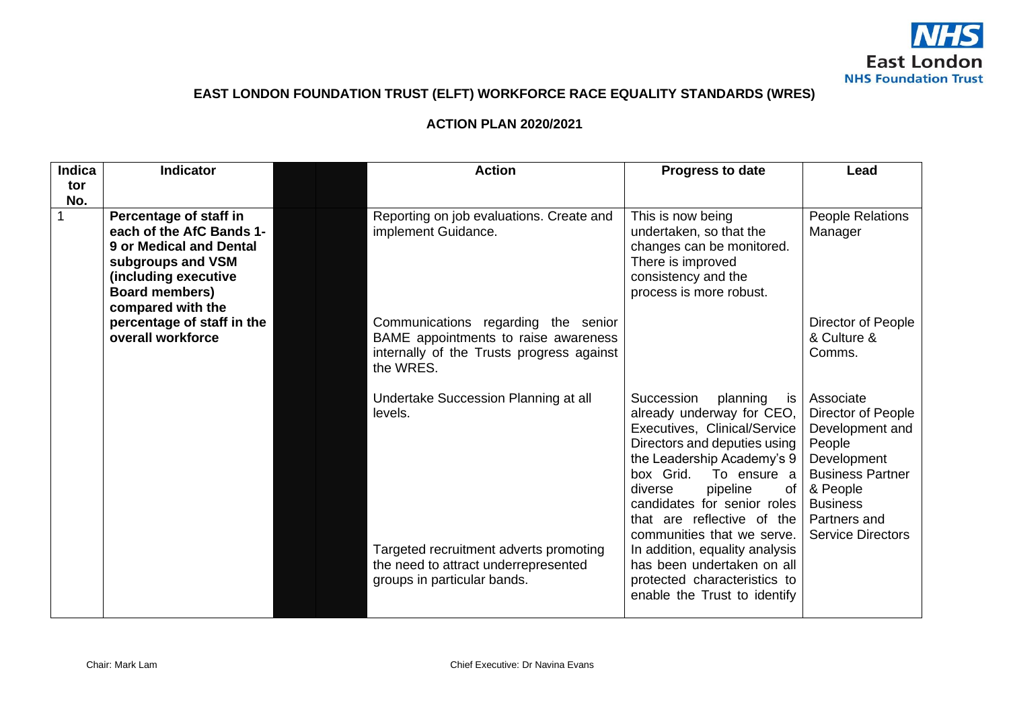

## **EAST LONDON FOUNDATION TRUST (ELFT) WORKFORCE RACE EQUALITY STANDARDS (WRES)**

## **ACTION PLAN 2020/2021**

| <b>Indica</b><br>tor | Indicator                                                                                                                                                                | <b>Action</b>                                                                                                                         | Progress to date                                                                                                                                                                                                                                                                                            | Lead                                                                                                                                                                              |
|----------------------|--------------------------------------------------------------------------------------------------------------------------------------------------------------------------|---------------------------------------------------------------------------------------------------------------------------------------|-------------------------------------------------------------------------------------------------------------------------------------------------------------------------------------------------------------------------------------------------------------------------------------------------------------|-----------------------------------------------------------------------------------------------------------------------------------------------------------------------------------|
| No.                  |                                                                                                                                                                          |                                                                                                                                       |                                                                                                                                                                                                                                                                                                             |                                                                                                                                                                                   |
|                      | Percentage of staff in<br>each of the AfC Bands 1-<br>9 or Medical and Dental<br>subgroups and VSM<br>(including executive<br><b>Board members)</b><br>compared with the | Reporting on job evaluations. Create and<br>implement Guidance.                                                                       | This is now being<br>undertaken, so that the<br>changes can be monitored.<br>There is improved<br>consistency and the<br>process is more robust.                                                                                                                                                            | People Relations<br>Manager                                                                                                                                                       |
|                      | percentage of staff in the<br>overall workforce                                                                                                                          | Communications regarding the senior<br>BAME appointments to raise awareness<br>internally of the Trusts progress against<br>the WRES. |                                                                                                                                                                                                                                                                                                             | Director of People<br>& Culture &<br>Comms.                                                                                                                                       |
|                      |                                                                                                                                                                          | Undertake Succession Planning at all<br>levels.                                                                                       | Succession<br>planning<br>is<br>already underway for CEO,<br>Executives, Clinical/Service<br>Directors and deputies using<br>the Leadership Academy's 9<br>box Grid.<br>To ensure a<br>pipeline<br>diverse<br>of<br>candidates for senior roles<br>that are reflective of the<br>communities that we serve. | Associate<br>Director of People<br>Development and<br>People<br>Development<br><b>Business Partner</b><br>& People<br><b>Business</b><br>Partners and<br><b>Service Directors</b> |
|                      |                                                                                                                                                                          | Targeted recruitment adverts promoting<br>the need to attract underrepresented<br>groups in particular bands.                         | In addition, equality analysis<br>has been undertaken on all<br>protected characteristics to<br>enable the Trust to identify                                                                                                                                                                                |                                                                                                                                                                                   |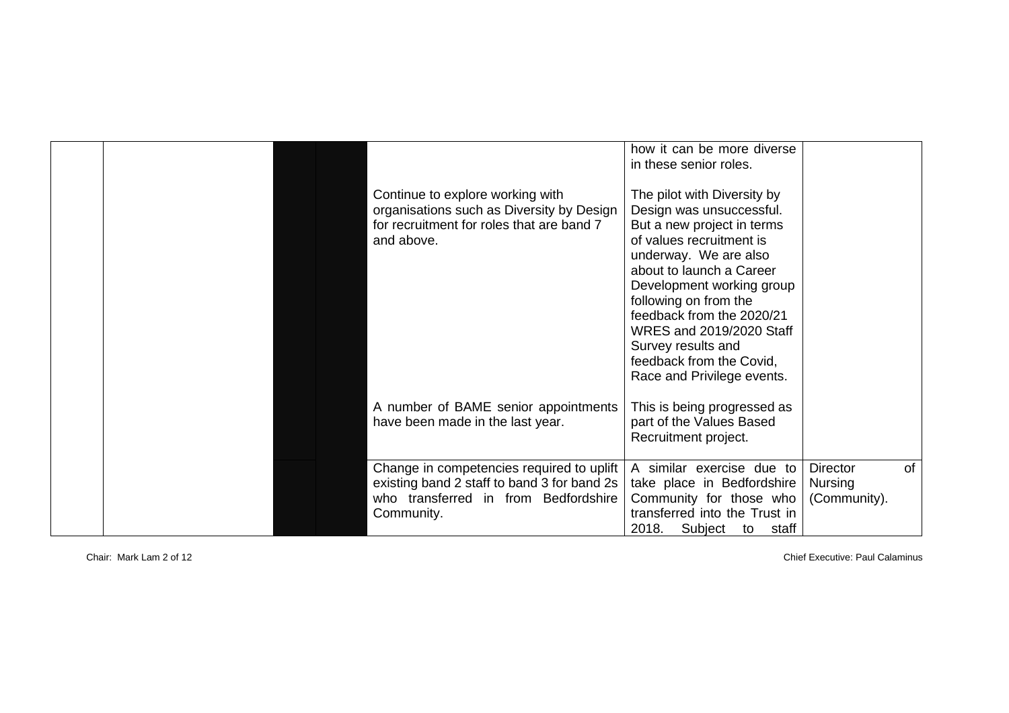|  |                                             | how it can be more diverse    |                 |           |
|--|---------------------------------------------|-------------------------------|-----------------|-----------|
|  |                                             | in these senior roles.        |                 |           |
|  |                                             |                               |                 |           |
|  | Continue to explore working with            | The pilot with Diversity by   |                 |           |
|  | organisations such as Diversity by Design   | Design was unsuccessful.      |                 |           |
|  | for recruitment for roles that are band 7   | But a new project in terms    |                 |           |
|  | and above.                                  | of values recruitment is      |                 |           |
|  |                                             | underway. We are also         |                 |           |
|  |                                             | about to launch a Career      |                 |           |
|  |                                             | Development working group     |                 |           |
|  |                                             | following on from the         |                 |           |
|  |                                             | feedback from the 2020/21     |                 |           |
|  |                                             | WRES and 2019/2020 Staff      |                 |           |
|  |                                             |                               |                 |           |
|  |                                             | Survey results and            |                 |           |
|  |                                             | feedback from the Covid,      |                 |           |
|  |                                             | Race and Privilege events.    |                 |           |
|  |                                             |                               |                 |           |
|  | A number of BAME senior appointments        | This is being progressed as   |                 |           |
|  | have been made in the last year.            | part of the Values Based      |                 |           |
|  |                                             | Recruitment project.          |                 |           |
|  |                                             |                               |                 |           |
|  | Change in competencies required to uplift   | A similar exercise due to     | <b>Director</b> | <b>of</b> |
|  | existing band 2 staff to band 3 for band 2s | take place in Bedfordshire    | Nursing         |           |
|  | who transferred in from Bedfordshire        | Community for those who       | (Community).    |           |
|  | Community.                                  | transferred into the Trust in |                 |           |
|  |                                             | 2018. Subject to<br>staff     |                 |           |

Chair: Mark Lam 2 of 12 Chief Executive: Paul Calaminus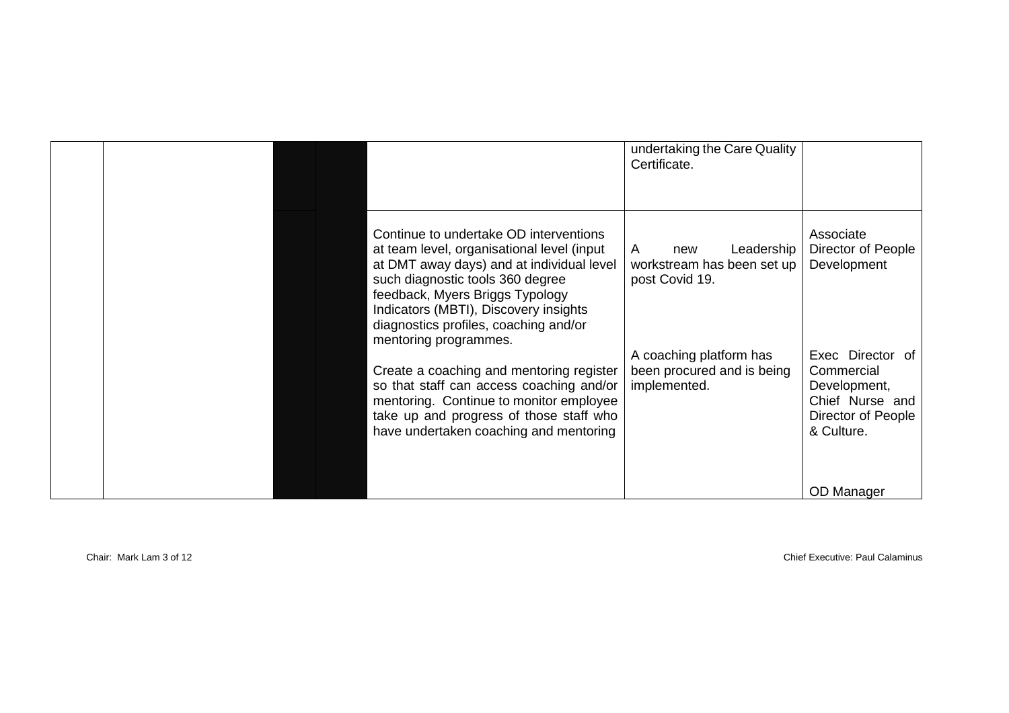|  |                                                                                                                                                                                                                                                                                                                     | undertaking the Care Quality<br>Certificate.                           |                                                                                                       |
|--|---------------------------------------------------------------------------------------------------------------------------------------------------------------------------------------------------------------------------------------------------------------------------------------------------------------------|------------------------------------------------------------------------|-------------------------------------------------------------------------------------------------------|
|  | Continue to undertake OD interventions<br>at team level, organisational level (input<br>at DMT away days) and at individual level<br>such diagnostic tools 360 degree<br>feedback, Myers Briggs Typology<br>Indicators (MBTI), Discovery insights<br>diagnostics profiles, coaching and/or<br>mentoring programmes. | Leadership<br>A<br>new<br>workstream has been set up<br>post Covid 19. | Associate<br>Director of People<br>Development                                                        |
|  | Create a coaching and mentoring register<br>so that staff can access coaching and/or<br>mentoring. Continue to monitor employee<br>take up and progress of those staff who<br>have undertaken coaching and mentoring                                                                                                | A coaching platform has<br>been procured and is being<br>implemented.  | Exec Director of<br>Commercial<br>Development,<br>Chief Nurse and<br>Director of People<br>& Culture. |
|  |                                                                                                                                                                                                                                                                                                                     |                                                                        | OD Manager                                                                                            |

Chair: Mark Lam 3 of 12 Chief Executive: Paul Calaminus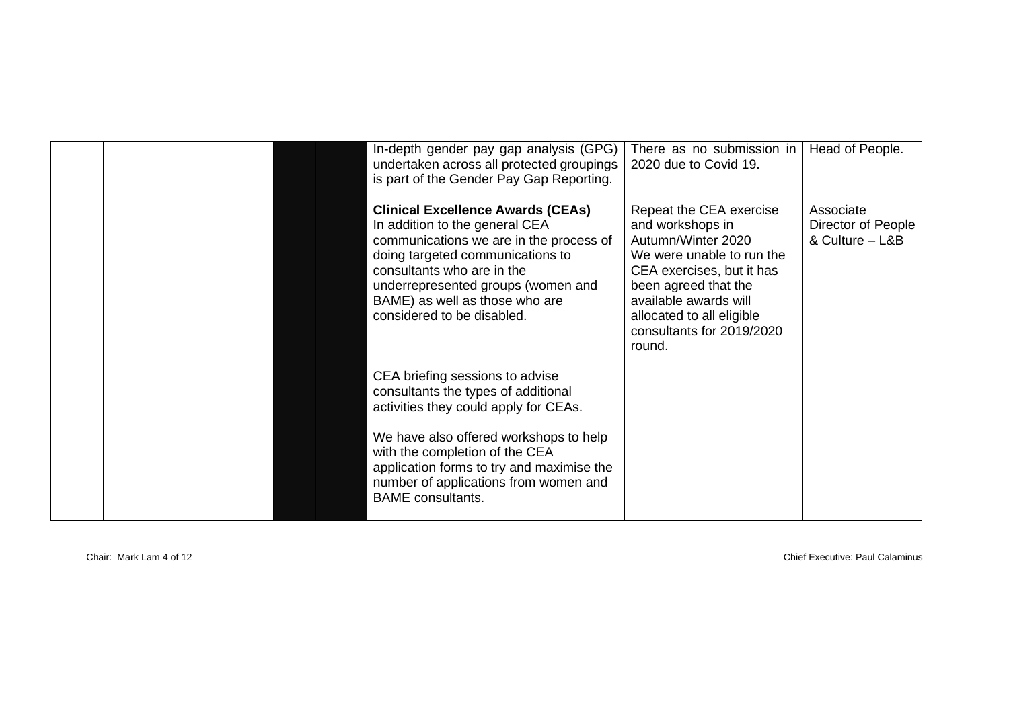|  | In-depth gender pay gap analysis (GPG)<br>undertaken across all protected groupings<br>is part of the Gender Pay Gap Reporting.                                                                                                                                                               | There as no submission in<br>2020 due to Covid 19.                                                                                                                                                                                               | Head of People.                                    |
|--|-----------------------------------------------------------------------------------------------------------------------------------------------------------------------------------------------------------------------------------------------------------------------------------------------|--------------------------------------------------------------------------------------------------------------------------------------------------------------------------------------------------------------------------------------------------|----------------------------------------------------|
|  | <b>Clinical Excellence Awards (CEAs)</b><br>In addition to the general CEA<br>communications we are in the process of<br>doing targeted communications to<br>consultants who are in the<br>underrepresented groups (women and<br>BAME) as well as those who are<br>considered to be disabled. | Repeat the CEA exercise<br>and workshops in<br>Autumn/Winter 2020<br>We were unable to run the<br>CEA exercises, but it has<br>been agreed that the<br>available awards will<br>allocated to all eligible<br>consultants for 2019/2020<br>round. | Associate<br>Director of People<br>& Culture - L&B |
|  | CEA briefing sessions to advise<br>consultants the types of additional<br>activities they could apply for CEAs.                                                                                                                                                                               |                                                                                                                                                                                                                                                  |                                                    |
|  | We have also offered workshops to help<br>with the completion of the CEA<br>application forms to try and maximise the<br>number of applications from women and<br><b>BAME</b> consultants.                                                                                                    |                                                                                                                                                                                                                                                  |                                                    |

Chair: Mark Lam 4 of 12 Chief Executive: Paul Calaminus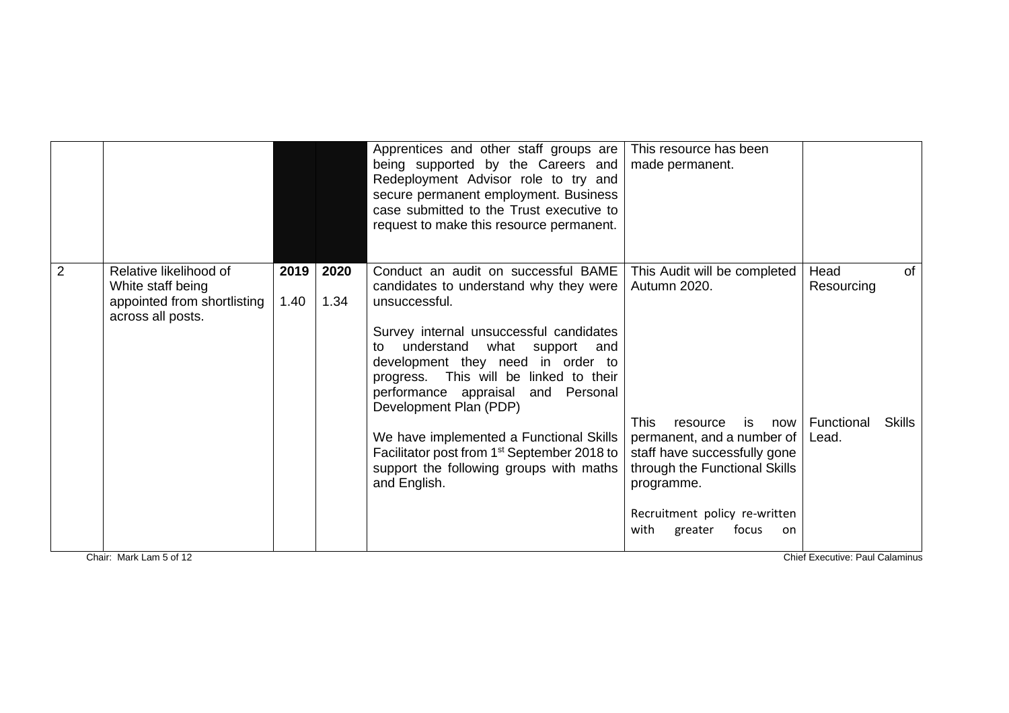|                |                                                                                                 |              |              | Apprentices and other staff groups are<br>being supported by the Careers and<br>Redeployment Advisor role to try and<br>secure permanent employment. Business<br>case submitted to the Trust executive to<br>request to make this resource permanent.                                                                               | This resource has been<br>made permanent.                                                                                                                                                                            |                                                               |               |
|----------------|-------------------------------------------------------------------------------------------------|--------------|--------------|-------------------------------------------------------------------------------------------------------------------------------------------------------------------------------------------------------------------------------------------------------------------------------------------------------------------------------------|----------------------------------------------------------------------------------------------------------------------------------------------------------------------------------------------------------------------|---------------------------------------------------------------|---------------|
| $\overline{2}$ | Relative likelihood of<br>White staff being<br>appointed from shortlisting<br>across all posts. | 2019<br>1.40 | 2020<br>1.34 | Conduct an audit on successful BAME<br>candidates to understand why they were<br>unsuccessful.<br>Survey internal unsuccessful candidates<br>understand<br>what<br>support and<br>to<br>development they need in order to<br>progress. This will be linked to their<br>performance appraisal and Personal<br>Development Plan (PDP) | This Audit will be completed<br>Autumn 2020.                                                                                                                                                                         | Head<br>Resourcing                                            | <b>of</b>     |
|                | Chair: Mark Lam 5 of 12                                                                         |              |              | We have implemented a Functional Skills<br>Facilitator post from 1 <sup>st</sup> September 2018 to<br>support the following groups with maths<br>and English.                                                                                                                                                                       | <b>This</b><br>is<br>resource<br>now<br>permanent, and a number of<br>staff have successfully gone<br>through the Functional Skills<br>programme.<br>Recruitment policy re-written<br>with<br>focus<br>greater<br>on | Functional<br>Lead.<br><b>Chief Executive: Paul Calaminus</b> | <b>Skills</b> |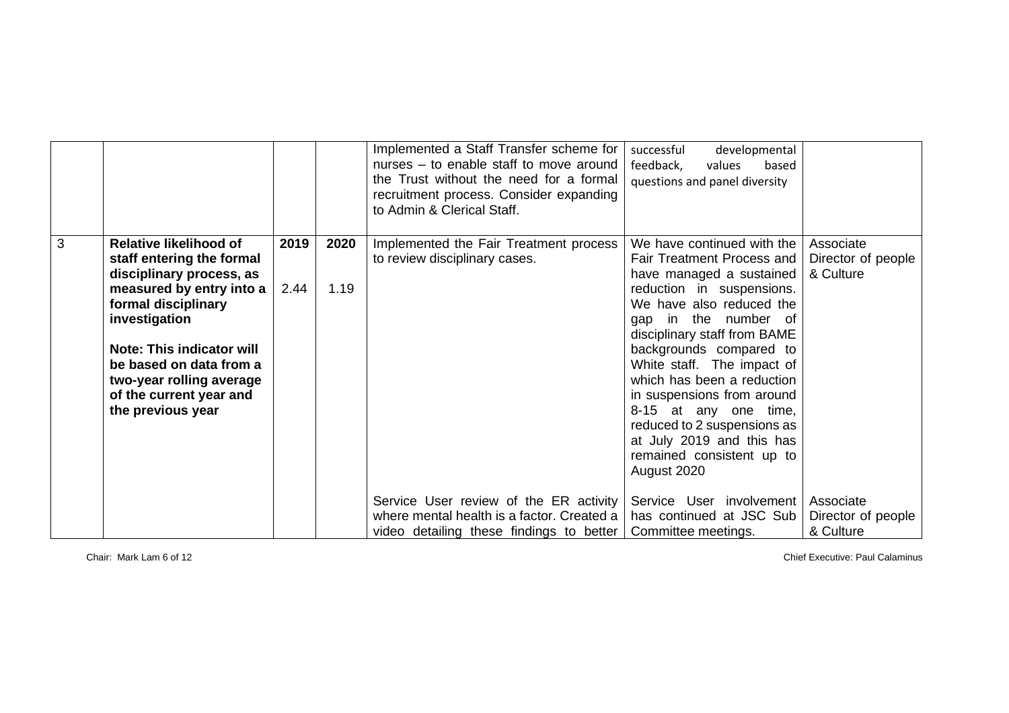|   |                                                                                                                                                                                                                                                                                                |              |              | Implemented a Staff Transfer scheme for<br>nurses – to enable staff to move around<br>the Trust without the need for a formal<br>recruitment process. Consider expanding<br>to Admin & Clerical Staff. | developmental<br>successful<br>feedback,<br>values<br>based<br>questions and panel diversity                                                                                                                                                                                                                                                                                                                                                                   |                                              |
|---|------------------------------------------------------------------------------------------------------------------------------------------------------------------------------------------------------------------------------------------------------------------------------------------------|--------------|--------------|--------------------------------------------------------------------------------------------------------------------------------------------------------------------------------------------------------|----------------------------------------------------------------------------------------------------------------------------------------------------------------------------------------------------------------------------------------------------------------------------------------------------------------------------------------------------------------------------------------------------------------------------------------------------------------|----------------------------------------------|
| 3 | <b>Relative likelihood of</b><br>staff entering the formal<br>disciplinary process, as<br>measured by entry into a<br>formal disciplinary<br>investigation<br>Note: This indicator will<br>be based on data from a<br>two-year rolling average<br>of the current year and<br>the previous year | 2019<br>2.44 | 2020<br>1.19 | Implemented the Fair Treatment process<br>to review disciplinary cases.                                                                                                                                | We have continued with the<br>Fair Treatment Process and<br>have managed a sustained<br>reduction in suspensions.<br>We have also reduced the<br>in the number of<br>qap<br>disciplinary staff from BAME<br>backgrounds compared to<br>White staff. The impact of<br>which has been a reduction<br>in suspensions from around<br>8-15 at any one time,<br>reduced to 2 suspensions as<br>at July 2019 and this has<br>remained consistent up to<br>August 2020 | Associate<br>Director of people<br>& Culture |
|   |                                                                                                                                                                                                                                                                                                |              |              | Service User review of the ER activity<br>where mental health is a factor. Created a<br>video detailing these findings to better                                                                       | Service User involvement<br>has continued at JSC Sub<br>Committee meetings.                                                                                                                                                                                                                                                                                                                                                                                    | Associate<br>Director of people<br>& Culture |

Chair: Mark Lam 6 of 12 Chief Executive: Paul Calaminus Chief Executive: Paul Calaminus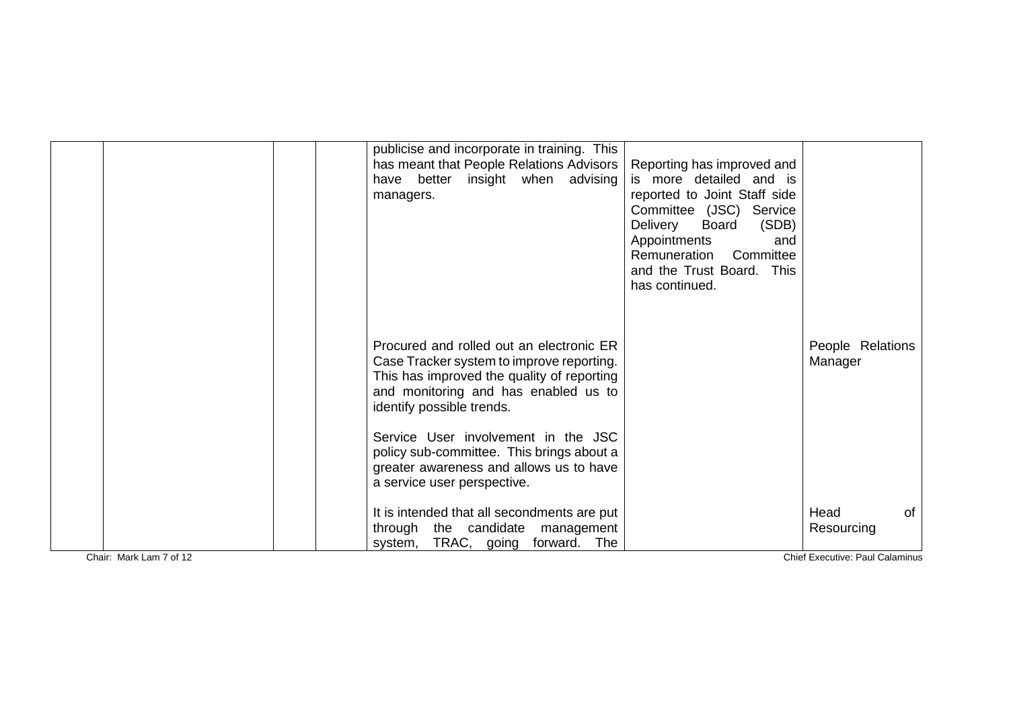|                         | publicise and incorporate in training. This<br>has meant that People Relations Advisors<br>better insight when advising<br>have<br>managers.                                                                                                    | Reporting has improved and<br>is more detailed and is<br>reported to Joint Staff side<br>Committee (JSC) Service<br>(SDB)<br>Delivery<br>Board<br>Appointments<br>and<br>Remuneration Committee<br>and the Trust Board. This<br>has continued. |                                                             |
|-------------------------|-------------------------------------------------------------------------------------------------------------------------------------------------------------------------------------------------------------------------------------------------|------------------------------------------------------------------------------------------------------------------------------------------------------------------------------------------------------------------------------------------------|-------------------------------------------------------------|
|                         | Procured and rolled out an electronic ER<br>Case Tracker system to improve reporting.<br>This has improved the quality of reporting<br>and monitoring and has enabled us to<br>identify possible trends.<br>Service User involvement in the JSC |                                                                                                                                                                                                                                                | People Relations<br>Manager                                 |
|                         | policy sub-committee. This brings about a<br>greater awareness and allows us to have<br>a service user perspective.                                                                                                                             |                                                                                                                                                                                                                                                |                                                             |
| Chair: Mark Lam 7 of 12 | It is intended that all secondments are put<br>through the candidate management<br>TRAC, going<br>forward.<br>The<br>system,                                                                                                                    |                                                                                                                                                                                                                                                | Head<br>0f<br>Resourcing<br>Chief Executive: Paul Calaminus |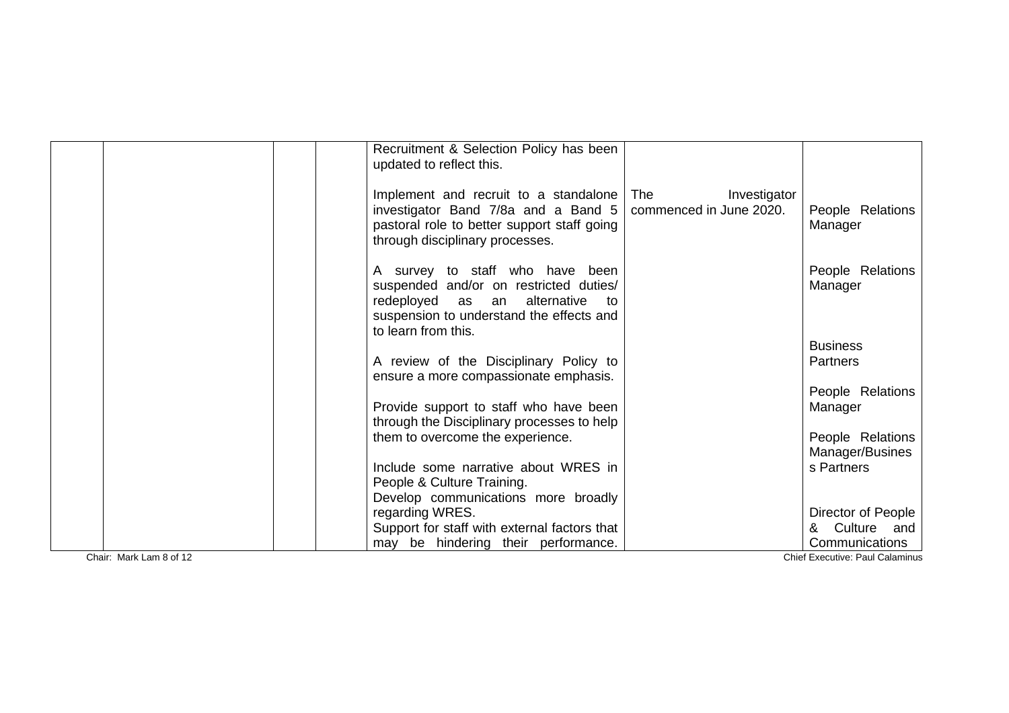|                         | Recruitment & Selection Policy has been<br>updated to reflect this.                                                                                                                   |                                                |                                                          |
|-------------------------|---------------------------------------------------------------------------------------------------------------------------------------------------------------------------------------|------------------------------------------------|----------------------------------------------------------|
|                         | Implement and recruit to a standalone<br>investigator Band 7/8a and a Band 5<br>pastoral role to better support staff going<br>through disciplinary processes.                        | The<br>Investigator<br>commenced in June 2020. | People Relations<br>Manager                              |
|                         | A survey to staff who have been<br>suspended and/or on restricted duties/<br>redeployed as an alternative<br>to to<br>suspension to understand the effects and<br>to learn from this. |                                                | People Relations<br>Manager                              |
|                         |                                                                                                                                                                                       |                                                | <b>Business</b>                                          |
|                         | A review of the Disciplinary Policy to<br>ensure a more compassionate emphasis.                                                                                                       |                                                | <b>Partners</b>                                          |
|                         | Provide support to staff who have been                                                                                                                                                |                                                | People Relations<br>Manager                              |
|                         | through the Disciplinary processes to help                                                                                                                                            |                                                |                                                          |
|                         | them to overcome the experience.                                                                                                                                                      |                                                | People Relations<br>Manager/Busines                      |
|                         | Include some narrative about WRES in                                                                                                                                                  |                                                | s Partners                                               |
|                         | People & Culture Training.<br>Develop communications more broadly                                                                                                                     |                                                |                                                          |
|                         | regarding WRES.                                                                                                                                                                       |                                                | Director of People                                       |
|                         | Support for staff with external factors that                                                                                                                                          |                                                | & Culture and                                            |
| Chair: Mark Lam 8 of 12 | may be hindering their performance.                                                                                                                                                   |                                                | Communications<br><b>Chief Executive: Paul Calaminus</b> |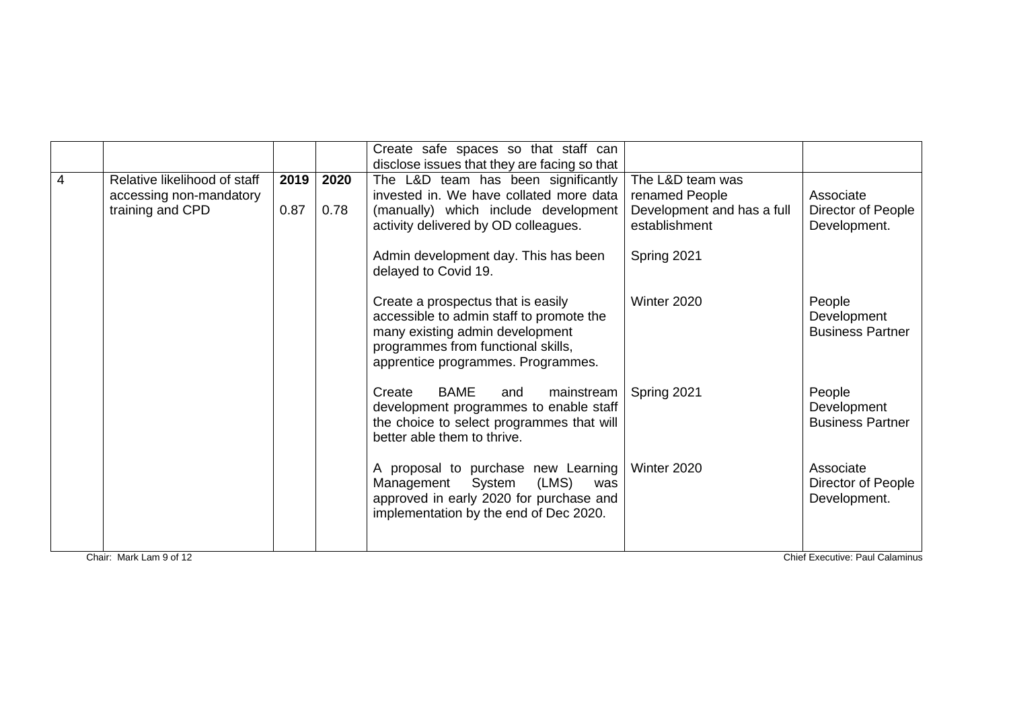|   |                              |      |      | Create safe spaces so that staff can                                                                                                                                                          |                                             |                                                  |
|---|------------------------------|------|------|-----------------------------------------------------------------------------------------------------------------------------------------------------------------------------------------------|---------------------------------------------|--------------------------------------------------|
|   |                              |      |      | disclose issues that they are facing so that                                                                                                                                                  |                                             |                                                  |
| 4 | Relative likelihood of staff | 2019 | 2020 | The L&D team has been significantly                                                                                                                                                           | The L&D team was                            |                                                  |
|   | accessing non-mandatory      |      |      | invested in. We have collated more data                                                                                                                                                       | renamed People                              | Associate                                        |
|   | training and CPD             | 0.87 | 0.78 | (manually) which include development<br>activity delivered by OD colleagues.                                                                                                                  | Development and has a full<br>establishment | Director of People<br>Development.               |
|   |                              |      |      | Admin development day. This has been<br>delayed to Covid 19.                                                                                                                                  | Spring 2021                                 |                                                  |
|   |                              |      |      | Create a prospectus that is easily<br>accessible to admin staff to promote the<br>many existing admin development<br>programmes from functional skills,<br>apprentice programmes. Programmes. | Winter 2020                                 | People<br>Development<br><b>Business Partner</b> |
|   |                              |      |      | Create<br><b>BAME</b><br>mainstream<br>and<br>development programmes to enable staff<br>the choice to select programmes that will<br>better able them to thrive.                              | Spring 2021                                 | People<br>Development<br><b>Business Partner</b> |
|   |                              |      |      | A proposal to purchase new Learning<br>System (LMS)<br>Management<br>was<br>approved in early 2020 for purchase and<br>implementation by the end of Dec 2020.                                 | Winter 2020                                 | Associate<br>Director of People<br>Development.  |
|   |                              |      |      |                                                                                                                                                                                               |                                             |                                                  |
|   | Chair: Mark Lam 9 of 12      |      |      |                                                                                                                                                                                               |                                             | <b>Chief Executive: Paul Calaminus</b>           |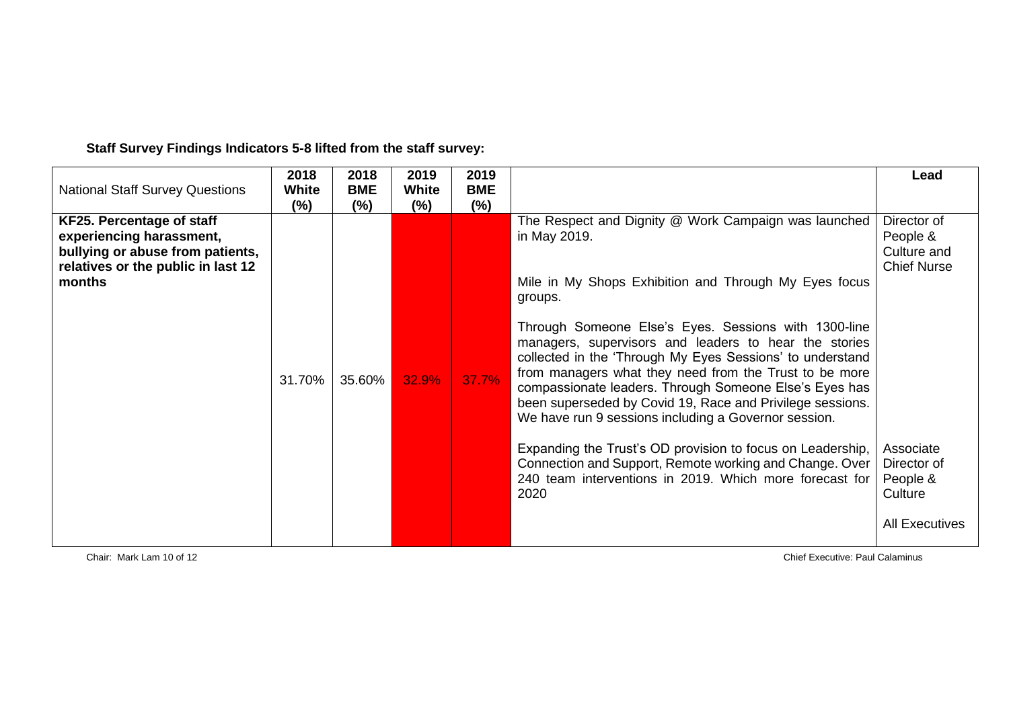| <b>National Staff Survey Questions</b>                                                                                                    | 2018<br><b>White</b><br>$(\%)$ | 2018<br><b>BME</b><br>$(\%)$ | 2019<br>White<br>$(\%)$ | 2019<br><b>BME</b><br>(% ) |                                                                                                                                                                                                                                                                                                                                                                                                                                                                                                                                                                                                                                                                                                                                                             | Lead                                                                                                                                     |
|-------------------------------------------------------------------------------------------------------------------------------------------|--------------------------------|------------------------------|-------------------------|----------------------------|-------------------------------------------------------------------------------------------------------------------------------------------------------------------------------------------------------------------------------------------------------------------------------------------------------------------------------------------------------------------------------------------------------------------------------------------------------------------------------------------------------------------------------------------------------------------------------------------------------------------------------------------------------------------------------------------------------------------------------------------------------------|------------------------------------------------------------------------------------------------------------------------------------------|
| KF25. Percentage of staff<br>experiencing harassment,<br>bullying or abuse from patients,<br>relatives or the public in last 12<br>months | 31.70%                         | 35.60%                       | 32.9%                   | 37.7%                      | The Respect and Dignity @ Work Campaign was launched<br>in May 2019.<br>Mile in My Shops Exhibition and Through My Eyes focus<br>groups.<br>Through Someone Else's Eyes. Sessions with 1300-line<br>managers, supervisors and leaders to hear the stories<br>collected in the 'Through My Eyes Sessions' to understand<br>from managers what they need from the Trust to be more<br>compassionate leaders. Through Someone Else's Eyes has<br>been superseded by Covid 19, Race and Privilege sessions.<br>We have run 9 sessions including a Governor session.<br>Expanding the Trust's OD provision to focus on Leadership,<br>Connection and Support, Remote working and Change. Over<br>240 team interventions in 2019. Which more forecast for<br>2020 | Director of<br>People &<br>Culture and<br><b>Chief Nurse</b><br>Associate<br>Director of<br>People &<br>Culture<br><b>All Executives</b> |

**Staff Survey Findings Indicators 5-8 lifted from the staff survey:**

Chair: Mark Lam 10 of 12 Chief Executive: Paul Calaminus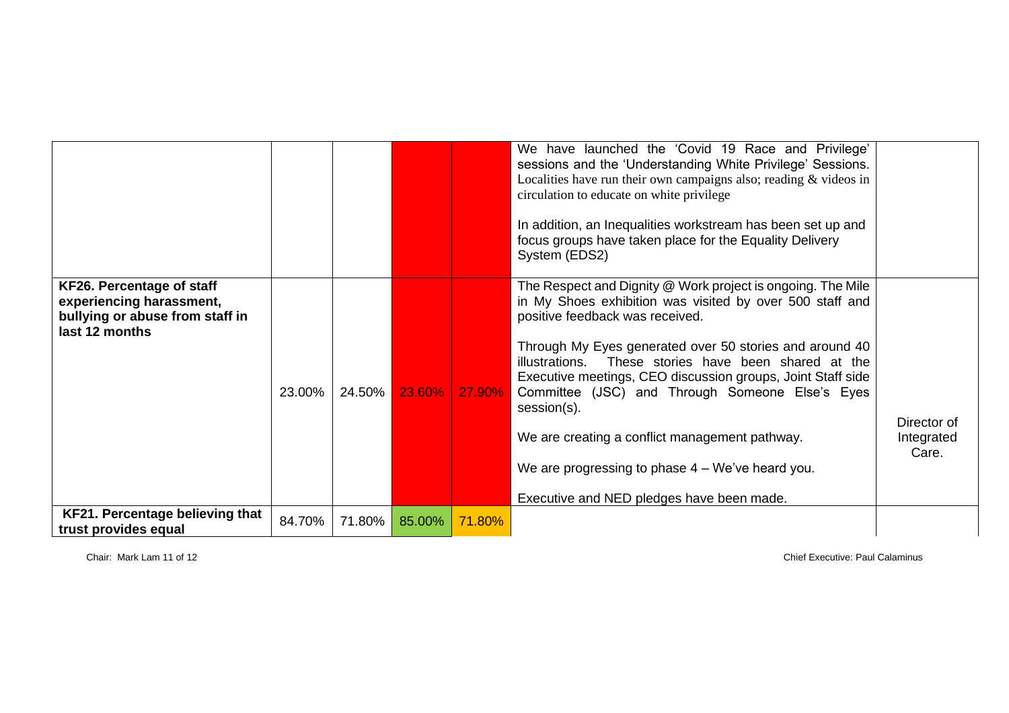|                                                                                                            |        |        |        |        | We have launched the 'Covid 19 Race and Privilege'<br>sessions and the 'Understanding White Privilege' Sessions.<br>Localities have run their own campaigns also; reading $&$ videos in<br>circulation to educate on white privilege<br>In addition, an Inequalities workstream has been set up and<br>focus groups have taken place for the Equality Delivery<br>System (EDS2)                                                                                                                                                                                     |                                    |
|------------------------------------------------------------------------------------------------------------|--------|--------|--------|--------|---------------------------------------------------------------------------------------------------------------------------------------------------------------------------------------------------------------------------------------------------------------------------------------------------------------------------------------------------------------------------------------------------------------------------------------------------------------------------------------------------------------------------------------------------------------------|------------------------------------|
| KF26. Percentage of staff<br>experiencing harassment,<br>bullying or abuse from staff in<br>last 12 months | 23.00% | 24.50% | 23.60% | 27.90% | The Respect and Dignity @ Work project is ongoing. The Mile<br>in My Shoes exhibition was visited by over 500 staff and<br>positive feedback was received.<br>Through My Eyes generated over 50 stories and around 40<br>illustrations. These stories have been shared at the<br>Executive meetings, CEO discussion groups, Joint Staff side<br>Committee (JSC) and Through Someone Else's Eyes<br>session(s).<br>We are creating a conflict management pathway.<br>We are progressing to phase $4 - We've$ heard you.<br>Executive and NED pledges have been made. | Director of<br>Integrated<br>Care. |
| <b>KF21. Percentage believing that</b><br>trust provides equal                                             | 84.70% | 71.80% | 85.00% | 71.80% |                                                                                                                                                                                                                                                                                                                                                                                                                                                                                                                                                                     |                                    |

Chair: Mark Lam 11 of 12 Chief Executive: Paul Calaminus